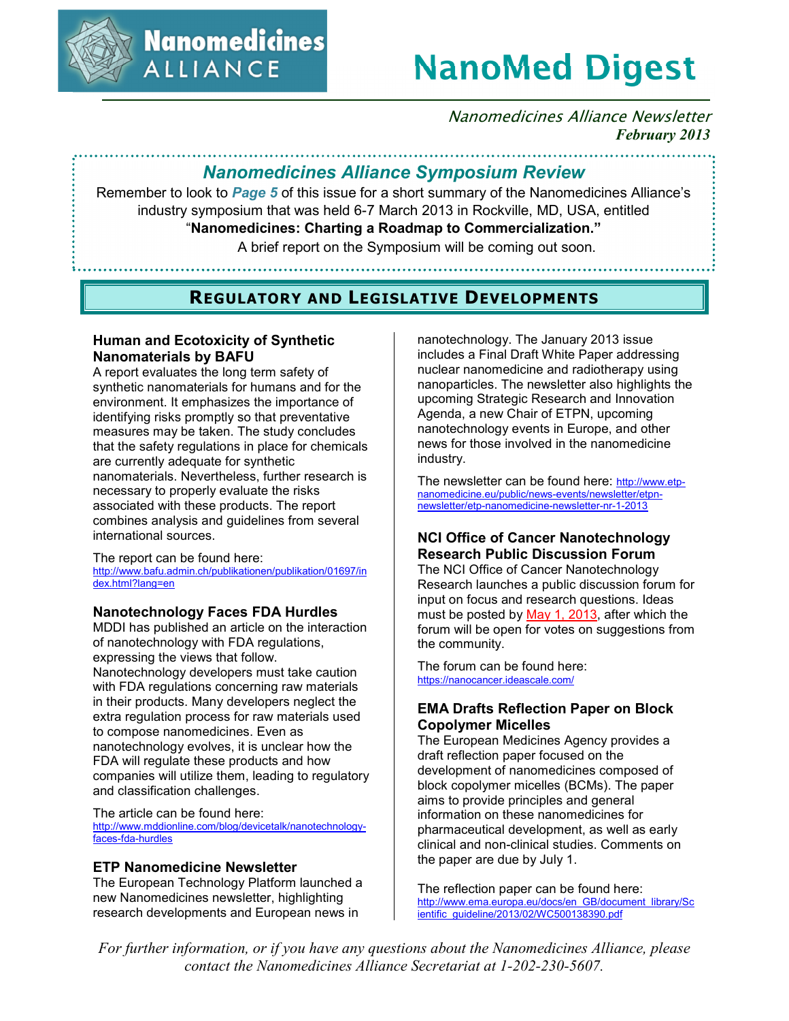

# **NanoMed Digest**

Nanomedicines Alliance Newsletter *February 2013*

# *Nanomedicines Alliance Symposium Review*

Remember to look to *Page 5* of this issue for a short summary of the Nanomedicines Alliance's industry symposium that was held 6-7 March 2013 in Rockville, MD, USA, entitled "**Nanomedicines: Charting a Roadmap to Commercialization."** A brief report on the Symposium will be coming out soon.

# **REGULATORY AND LEGISLATIVE DEVELOPMENTS**

## **Human and Ecotoxicity of Synthetic Nanomaterials by BAFU**

A report evaluates the long term safety of synthetic nanomaterials for humans and for the environment. It emphasizes the importance of identifying risks promptly so that preventative measures may be taken. The study concludes that the safety regulations in place for chemicals are currently adequate for synthetic nanomaterials. Nevertheless, further research is necessary to properly evaluate the risks associated with these products. The report combines analysis and guidelines from several international sources.

The report can be found here:

http://www.bafu.admin.ch/publikationen/publikation/01697/in dex.html?lang=en

## **Nanotechnology Faces FDA Hurdles**

MDDI has published an article on the interaction of nanotechnology with FDA regulations, expressing the views that follow. Nanotechnology developers must take caution with FDA regulations concerning raw materials in their products. Many developers neglect the extra regulation process for raw materials used to compose nanomedicines. Even as nanotechnology evolves, it is unclear how the FDA will regulate these products and how companies will utilize them, leading to regulatory and classification challenges.

The article can be found here: http://www.mddionline.com/blog/devicetalk/nanotechnologyfaces-fda-hurdles

## **ETP Nanomedicine Newsletter**

The European Technology Platform launched a new Nanomedicines newsletter, highlighting research developments and European news in

nanotechnology. The January 2013 issue includes a Final Draft White Paper addressing nuclear nanomedicine and radiotherapy using nanoparticles. The newsletter also highlights the upcoming Strategic Research and Innovation Agenda, a new Chair of ETPN, upcoming nanotechnology events in Europe, and other news for those involved in the nanomedicine industry.

The newsletter can be found here: http://www.etpnanomedicine.eu/public/news-events/newsletter/etpnnewsletter/etp-nanomedicine-newsletter-nr-1-2013

## **NCI Office of Cancer Nanotechnology Research Public Discussion Forum**

The NCI Office of Cancer Nanotechnology Research launches a public discussion forum for input on focus and research questions. Ideas must be posted by May 1, 2013, after which the forum will be open for votes on suggestions from the community.

The forum can be found here: https://nanocancer.ideascale.com/

## **EMA Drafts Reflection Paper on Block Copolymer Micelles**

The European Medicines Agency provides a draft reflection paper focused on the development of nanomedicines composed of block copolymer micelles (BCMs). The paper aims to provide principles and general information on these nanomedicines for pharmaceutical development, as well as early clinical and non-clinical studies. Comments on the paper are due by July 1.

The reflection paper can be found here: http://www.ema.europa.eu/docs/en\_GB/document\_library/Sc ientific\_guideline/2013/02/WC500138390.pdf

*For further information, or if you have any questions about the Nanomedicines Alliance, please contact the Nanomedicines Alliance Secretariat at 1-202-230-5607.*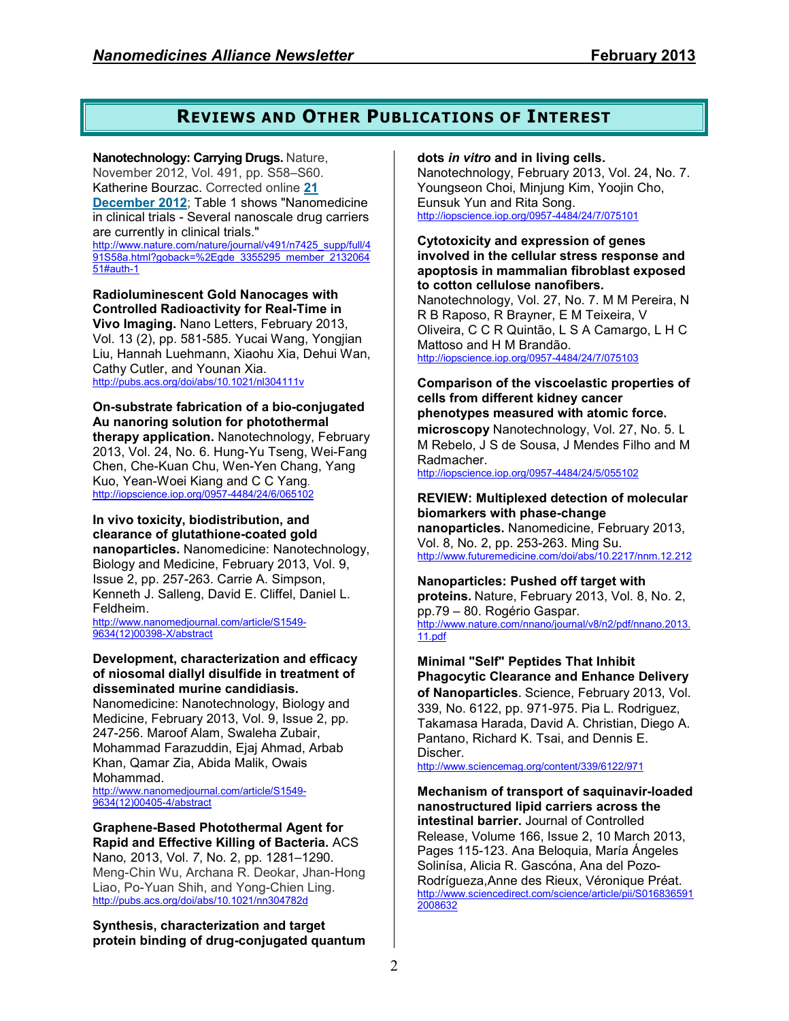# **REVIEWS AND OTHER PUBLICATIONS OF INTEREST**

#### **Nanotechnology: Carrying Drugs.** Nature,

November 2012, Vol. 491, pp. S58–S60. Katherine Bourzac. Corrected online **21 December 2012**; Table 1 shows "Nanomedicine in clinical trials - Several nanoscale drug carriers are currently in clinical trials." http://www.nature.com/nature/journal/v491/n7425\_supp/full/4

91S58a.html?goback=%2Egde\_3355295\_member\_2132064 51#auth-1

**Radioluminescent Gold Nanocages with Controlled Radioactivity for Real-Time in Vivo Imaging.** Nano Letters, February 2013, Vol. 13 (2), pp. 581-585. Yucai Wang, Yongjian Liu, Hannah Luehmann, Xiaohu Xia, Dehui Wan, Cathy Cutler, and Younan Xia.

http://pubs.acs.org/doi/abs/10.1021/nl304111v

#### **On-substrate fabrication of a bio-conjugated Au nanoring solution for photothermal**

**therapy application.** Nanotechnology, February 2013, Vol. 24, No. 6. Hung-Yu Tseng, Wei-Fang Chen, Che-Kuan Chu, Wen-Yen Chang, Yang Kuo, Yean-Woei Kiang and C C Yang. http://iopscience.iop.org/0957-4484/24/6/065102

#### **In vivo toxicity, biodistribution, and clearance of glutathione-coated gold**

**nanoparticles.** Nanomedicine: Nanotechnology, Biology and Medicine, February 2013, Vol. 9, Issue 2, pp. 257-263. Carrie A. Simpson, Kenneth J. Salleng, David E. Cliffel, Daniel L. Feldheim.

http://www.nanomedjournal.com/article/S1549- 9634(12)00398-X/abstract

#### **Development, characterization and efficacy of niosomal diallyl disulfide in treatment of disseminated murine candidiasis.**

Nanomedicine: Nanotechnology, Biology and Medicine, February 2013, Vol. 9, Issue 2, pp. 247-256. Maroof Alam, Swaleha Zubair, Mohammad Farazuddin, Ejaj Ahmad, Arbab Khan, Qamar Zia, Abida Malik, Owais Mohammad.

http://www.nanomedjournal.com/article/S1549- 9634(12)00405-4/abstract

### **Graphene-Based Photothermal Agent for Rapid and Effective Killing of Bacteria.** ACS

Nano*,* 2013, Vol. *7*, No. 2, pp. 1281–1290. Meng-Chin Wu, Archana R. Deokar, Jhan-Hong Liao, Po-Yuan Shih, and Yong-Chien Ling. http://pubs.acs.org/doi/abs/10.1021/nn304782d

#### **Synthesis, characterization and target protein binding of drug-conjugated quantum**

#### **dots** *in vitro* **and in living cells.**

Nanotechnology, February 2013, Vol. 24, No. 7. Youngseon Choi, Minjung Kim, Yoojin Cho, Eunsuk Yun and Rita Song. http://iopscience.iop.org/0957-4484/24/7/075101

#### **Cytotoxicity and expression of genes involved in the cellular stress response and apoptosis in mammalian fibroblast exposed to cotton cellulose nanofibers.**

Nanotechnology, Vol. 27, No. 7. M M Pereira, N R B Raposo, R Brayner, E M Teixeira, V Oliveira, C C R Quintão, L S A Camargo, L H C Mattoso and H M Brandão. http://iopscience.iop.org/0957-4484/24/7/075103

#### **Comparison of the viscoelastic properties of cells from different kidney cancer phenotypes measured with atomic force.**

**microscopy** Nanotechnology, Vol. 27, No. 5. L M Rebelo, J S de Sousa, J Mendes Filho and M Radmacher.

http://iopscience.iop.org/0957-4484/24/5/055102

#### **REVIEW: Multiplexed detection of molecular biomarkers with phase-change nanoparticles.** Nanomedicine, February 2013,

Vol. 8, No. 2, pp. 253-263. Ming Su. http://www.futuremedicine.com/doi/abs/10.2217/nnm.12.212

### **Nanoparticles: Pushed off target with**

**proteins.** Nature, February 2013, Vol. 8, No. 2, pp.79 – 80. Rogério Gaspar. http://www.nature.com/nnano/journal/v8/n2/pdf/nnano.2013. 11.pdf

#### **Minimal "Self" Peptides That Inhibit Phagocytic Clearance and Enhance Delivery of Nanoparticles**. Science, February 2013, Vol. 339, No. 6122, pp. 971-975. Pia L. Rodriguez,

Takamasa Harada, David A. Christian, Diego A. Pantano, Richard K. Tsai, and Dennis E. Discher.

http://www.sciencemag.org/content/339/6122/971

#### **Mechanism of transport of saquinavir-loaded nanostructured lipid carriers across the intestinal barrier.** Journal of Controlled Release, Volume 166, Issue 2, 10 March 2013, Pages 115-123. Ana Beloquia, María Ángeles Solinísa, Alicia R. Gascóna, Ana del Pozo-Rodrígueza,Anne des Rieux, Véronique Préat. http://www.sciencedirect.com/science/article/pii/S016836591 2008632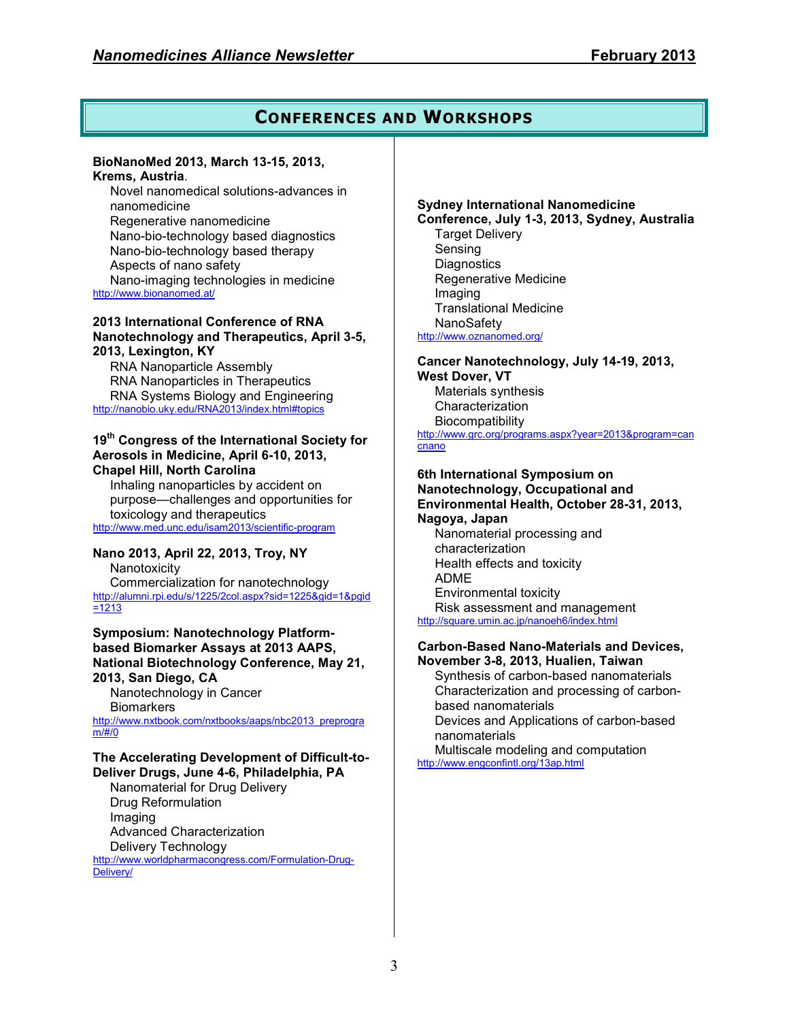# **CONFERENCES AND WORKSHOPS**

#### **BioNanoMed 2013, March 13-15, 2013, Krems, Austria**.

Novel nanomedical solutions-advances in nanomedicine Regenerative nanomedicine Nano-bio-technology based diagnostics Nano-bio-technology based therapy Aspects of nano safety Nano-imaging technologies in medicine http://www.bionanomed.at/

#### **2013 International Conference of RNA Nanotechnology and Therapeutics, April 3-5, 2013, Lexington, KY**

RNA Nanoparticle Assembly RNA Nanoparticles in Therapeutics RNA Systems Biology and Engineering http://nanobio.uky.edu/RNA2013/index.html#topics

#### **19th Congress of the International Society for Aerosols in Medicine, April 6-10, 2013, Chapel Hill, North Carolina**

Inhaling nanoparticles by accident on purpose—challenges and opportunities for toxicology and therapeutics

http://www.med.unc.edu/isam2013/scientific-program

#### **Nano 2013, April 22, 2013, Troy, NY Nanotoxicity**

Commercialization for nanotechnology http://alumni.rpi.edu/s/1225/2col.aspx?sid=1225&gid=1&pgid  $=1213$ 

#### **Symposium: Nanotechnology Platformbased Biomarker Assays at 2013 AAPS, National Biotechnology Conference, May 21, 2013, San Diego, CA**

Nanotechnology in Cancer **Biomarkers** 

http://www.nxtbook.com/nxtbooks/aaps/nbc2013\_preprogra m/#/0

#### **The Accelerating Development of Difficult-to-Deliver Drugs, June 4-6, Philadelphia, PA**

Nanomaterial for Drug Delivery Drug Reformulation Imaging Advanced Characterization Delivery Technology http://www.worldpharmacongress.com/Formulation-Drug-

Delivery/

## **Sydney International Nanomedicine**

**Conference, July 1-3, 2013, Sydney, Australia** Target Delivery Sensing **Diagnostics** Regenerative Medicine Imaging Translational Medicine **NanoSafety** 

http://www.oznanomed.org/

**Cancer Nanotechnology, July 14-19, 2013, West Dover, VT** Materials synthesis **Characterization Biocompatibility** http://www.grc.org/programs.aspx?year=2013&program=can cnano

#### **6th International Symposium on Nanotechnology, Occupational and Environmental Health, October 28-31, 2013, Nagoya, Japan** Nanomaterial processing and

characterization Health effects and toxicity ADME Environmental toxicity Risk assessment and management http://square.umin.ac.jp/nanoeh6/index.html

#### **Carbon-Based Nano-Materials and Devices, November 3-8, 2013, Hualien, Taiwan**

Synthesis of carbon-based nanomaterials Characterization and processing of carbonbased nanomaterials Devices and Applications of carbon-based nanomaterials

Multiscale modeling and computation http://www.engconfintl.org/13ap.html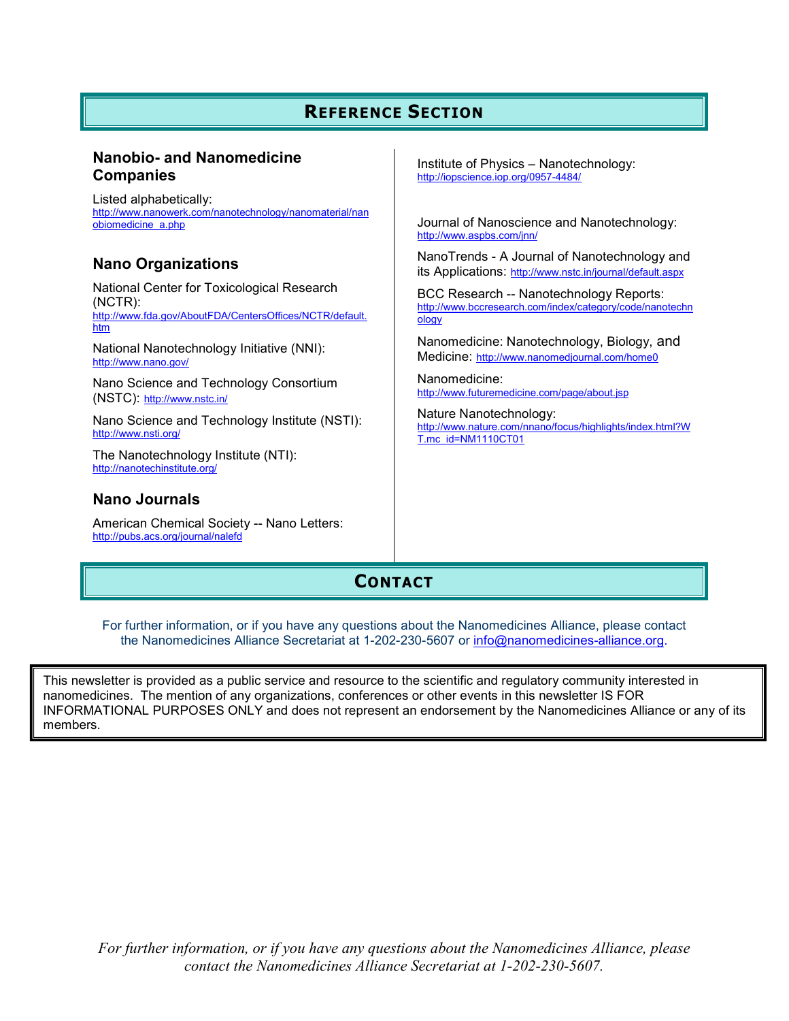# **REFERENCE SECTION**

## **Nanobio- and Nanomedicine Companies**

Listed alphabetically: http://www.nanowerk.com/nanotechnology/nanomaterial/nan obiomedicine\_a.php

## **Nano Organizations**

National Center for Toxicological Research (NCTR): http://www.fda.gov/AboutFDA/CentersOffices/NCTR/default. htm

National Nanotechnology Initiative (NNI): http://www.nano.gov/

Nano Science and Technology Consortium (NSTC): http://www.nstc.in/

Nano Science and Technology Institute (NSTI): http://www.nsti.org/

The Nanotechnology Institute (NTI): http://nanotechinstitute.org/

## **Nano Journals**

Ī

American Chemical Society -- Nano Letters: http://pubs.acs.org/journal/nalefd

Institute of Physics – Nanotechnology: http://iopscience.iop.org/0957-4484/

Journal of Nanoscience and Nanotechnology: http://www.aspbs.com/jnn/

NanoTrends - A Journal of Nanotechnology and its Applications: http://www.nstc.in/journal/default.aspx

BCC Research -- Nanotechnology Reports: http://www.bccresearch.com/index/category/code/nanotechn ology

Nanomedicine: Nanotechnology, Biology, and Medicine: http://www.nanomedjournal.com/home0

Nanomedicine: http://www.futuremedicine.com/page/about.jsp

Nature Nanotechnology: http://www.nature.com/nnano/focus/highlights/index.html?W T.mc\_id=NM1110CT01

## **CONTACT**

For further information, or if you have any questions about the Nanomedicines Alliance, please contact the Nanomedicines Alliance Secretariat at 1-202-230-5607 or info@nanomedicines-alliance.org.

This newsletter is provided as a public service and resource to the scientific and regulatory community interested in nanomedicines. The mention of any organizations, conferences or other events in this newsletter IS FOR INFORMATIONAL PURPOSES ONLY and does not represent an endorsement by the Nanomedicines Alliance or any of its members.